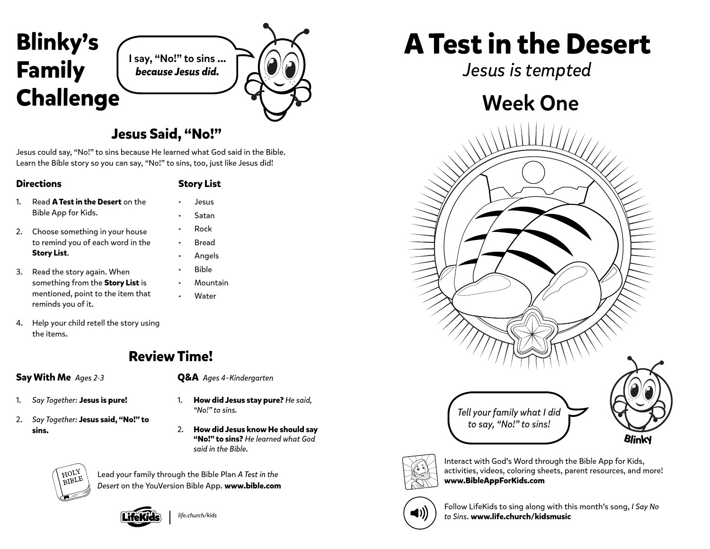

### **Jesus Said, "No!"**

Jesus could say, "No!" to sins because He learned what God said in the Bible. Learn the Bible story so you can say, "No!" to sins, too, just like Jesus did!

#### **Directions**

#### **Story List**

• Jesus • Satan

- 1. Read **A Test in the Desert** on the Bible App for Kids.
- 2. Choose something in your house to remind you of each word in the **Story List**.
- 3. Read the story again. When something from the **Story List** is mentioned, point to the item that reminds you of it.
- Rock • Bread • Angels • Bible **Mountain**
- **Water**
- 4. Help your child retell the story using the items.



#### **Say With Me** *Ages 2-3*

- 1. *Say Together:* **Jesus is pure!**
- 2. *Say Together:* **Jesus said, "No!" to sins.**
- **Q&A** *Ages 4–Kindergarten*
- 1. **How did Jesus stay pure?** *He said, "No!" to sins.*
- 2. **How did Jesus know He should say "No!" to sins?** *He learned what God said in the Bible.*

HOLY **BIBLE** 

Lead your family through the Bible Plan *A Test in the Desert* on the YouVersion Bible App. **www.bible.com**



*life.church/kids*

# **A Test in the Desert**

*Jesus is tempted*

## Week One





Interact with God's Word through the Bible App for Kids, activities, videos, coloring sheets, parent resources, and more! **www.BibleAppForKids.com**



Follow LifeKids to sing along with this month's song, *I Say No to Sins*. **www.life.church/kidsmusic**